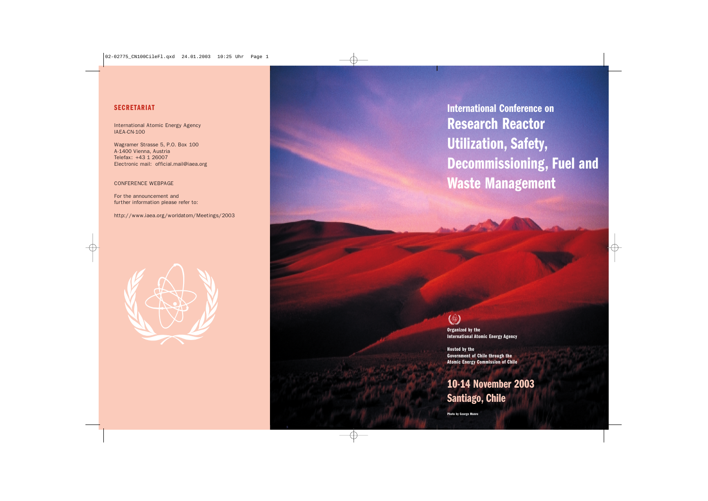### **SECRETARIAT**

International Atomic Energy Agency IAEA-CN-100

Wagramer Strasse 5, P.O. Box 100 A-1400 Vienna, Austria Telefax: +43 1 26007 Electronic mail: official.mail@iaea.org

#### CONFERENCE WEBPAGE

For the announcement and further information please refer to:

http://www.iaea.org/worldatom/Meetings/2003



# **International Conference on Research Reactor Utilization, Safety, Decommissioning, Fuel and Waste Management**

# (\$)

**Organized by the International Atomic Energy Agency**

**Hosted by the Government of Chile through the Atomic Energy Commission of Chile**

# **10-14 November 2003 Santiago, Chile**

**Photo by George Munro**